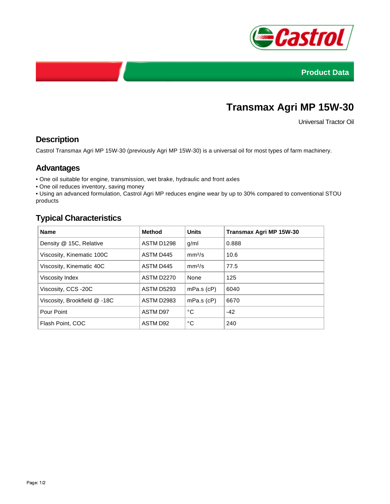



# **Transmax Agri MP 15W-30**

Universal Tractor Oil

### **Description**

Castrol Transmax Agri MP 15W-30 (previously Agri MP 15W-30) is a universal oil for most types of farm machinery.

#### **Advantages**

• One oil suitable for engine, transmission, wet brake, hydraulic and front axles

• One oil reduces inventory, saving money

• Using an advanced formulation, Castrol Agri MP reduces engine wear by up to 30% compared to conventional STOU products

## **Typical Characteristics**

| <b>Name</b>                  | <b>Method</b>     | <b>Units</b>       | Transmax Agri MP 15W-30 |
|------------------------------|-------------------|--------------------|-------------------------|
| Density @ 15C, Relative      | ASTM D1298        | g/ml               | 0.888                   |
| Viscosity, Kinematic 100C    | ASTM D445         | mm <sup>2</sup> /s | 10.6                    |
| Viscosity, Kinematic 40C     | ASTM D445         | mm <sup>2</sup> /s | 77.5                    |
| Viscosity Index              | <b>ASTM D2270</b> | None               | 125                     |
| Viscosity, CCS -20C          | <b>ASTM D5293</b> | $mPa.s$ ( $cP$ )   | 6040                    |
| Viscosity, Brookfield @ -18C | <b>ASTM D2983</b> | $mPa.s$ ( $cP$ )   | 6670                    |
| Pour Point                   | <b>ASTM D97</b>   | °C                 | $-42$                   |
| Flash Point, COC             | ASTM D92          | °C                 | 240                     |